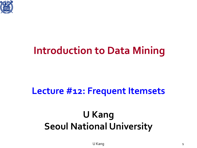

### **Introduction to Data Mining**

#### **Lecture #12: Frequent Itemsets**

### **U Kang Seoul National University**

U Kang 1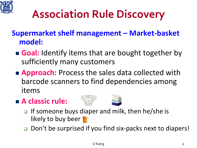

### **Association Rule Discovery**

- **Supermarket shelf management – Market-basket model:**
	- **Goal:** Identify items that are bought together by sufficiently many customers
	- **Approach:** Process the sales data collected with barcode scanners to find dependencies among items
	- **A classic rule:**
- 
- $\Box$  If someone buys diaper and milk, then he/she is likely to buy beer **T**
- □ Don't be surprised if you find six-packs next to diapers!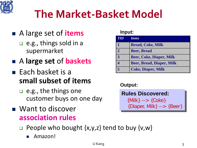

### **The Market-Basket Model**

- A large set of **items**
	- e.g., things sold in a supermarket
- A **large set** of **baskets**
- $\blacksquare$  Each basket is a **small subset of items**
	- **□** e.g., the things one customer buys on one day
- **Nant to discover association rules**

#### **Input:**

| <b>TID</b>              | <b>Items</b>                     |
|-------------------------|----------------------------------|
|                         | <b>Bread, Coke, Milk</b>         |
| $\overline{2}$          | <b>Beer, Bread</b>               |
| 3                       | <b>Beer, Coke, Diaper, Milk</b>  |
| 4                       | <b>Beer, Bread, Diaper, Milk</b> |
| $\overline{\mathbf{5}}$ | <b>Coke, Diaper, Milk</b>        |

#### **Output:**

| <b>Rules Discovered:</b>        |
|---------------------------------|
| ${Milk} \longrightarrow {Coke}$ |
| {Diaper, Milk} --> $\{ Beer\}$  |

- $\Box$  People who bought  $\{x,y,z\}$  tend to buy  $\{v,w\}$ 
	- Amazon!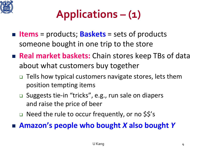

## **Applications – (1)**

- **Items** = products; **Baskets** = sets of products someone bought in one trip to the store
- **Real market baskets:** Chain stores keep TBs of data about what customers buy together
	- □ Tells how typical customers navigate stores, lets them position tempting items
	- □ Suggests tie-in "tricks", e.g., run sale on diapers and raise the price of beer
	- □ Need the rule to occur frequently, or no \$\$'s

**Amazon's people who bought** *X* **also bought** *Y*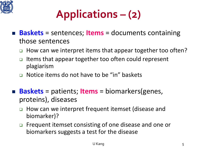

### **Applications – (2)**

- **Baskets** = sentences; **Items** = documents containing those sentences
	- □ How can we interpret items that appear together too often?
	- Items that appear together too often could represent plagiarism
	- **□** Notice items do not have to be "in" baskets
- **Baskets** = patients; **Items** = biomarkers(genes, proteins), diseases
	- □ How can we interpret frequent itemset (disease and biomarker)?
	- □ Frequent itemset consisting of one disease and one or biomarkers suggests a test for the disease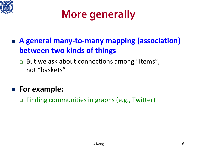

### **More generally**

- **A general many-to-many mapping (association) between two kinds of things**
	- □ But we ask about connections among "items", not "baskets"
- **For example:**
	- Finding communities in graphs (e.g., Twitter)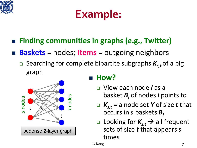

### **Example:**

- **Finding communities in graphs (e.g., Twitter)**
- **Baskets** = nodes; **Items** = outgoing neighbors
	- **Examplerie** Searching for complete bipartite subgraphs  $K_{s,t}$  of a big graph



#### **How?**

- View each node *i* as a basket *Bi* of nodes *i* points to
- $K_{s,t}$  = a node set *Y* of size *t* that occurs in *s* baskets *Bi*
- **Q** Looking for  $K_{s,t}$   $\rightarrow$  all frequent sets of size *t* that appears *s*  times

U Kang 7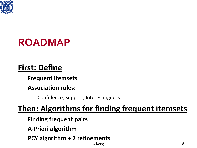

### **ROADMAP**

### **First: Define**

**Frequent itemsets**

**Association rules:**

Confidence, Support, Interestingness

#### **Then: Algorithms for finding frequent itemsets**

**Finding frequent pairs**

**A-Priori algorithm**

**PCY algorithm + 2 refinements**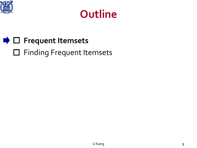



### **■** □ Frequent Itemsets □ Finding Frequent Itemsets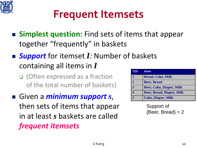

### **Frequent Itemsets**

- **Simplest question:** Find sets of items that appear together "frequently" in baskets
- **Support** for itemset *I*: Number of baskets containing all items in *I*
	- (Often expressed as a fraction of the total number of baskets)
- Given a *minimum support s*, then sets of items that appear in at least *s* baskets are called *frequent itemsets*

| <b>TID</b>     | <i><u><b>Items</b></u></i>       |
|----------------|----------------------------------|
|                | <b>Bread, Coke, Milk</b>         |
| $\overline{2}$ | <b>Beer, Bread</b>               |
| $\mathbf{R}$   | <b>Beer, Coke, Diaper, Milk</b>  |
|                | <b>Beer, Bread, Diaper, Milk</b> |
|                | <b>Coke, Diaper, Milk</b>        |

Support of  ${Beer, Bread} = 2$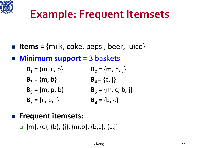

### **Example: Frequent Itemsets**

- **Iffems** = {milk, coke, pepsi, beer, juice}
- **Minimum support** = 3 baskets
	- **B**<sub>1</sub> = {m, c, b} **B**<sub>2</sub> = {m, p, j} **B<sub>3</sub>** = {m, b} **B<sub>4</sub>** = {c, j} **B**<sub>5</sub> = {m, p, b} **B**<sub>6</sub> = {m, c, b, j}  $B_7 = \{c, b, j\}$   $B_8 = \{b, c\}$
- **Frequent itemsets:**
	- $\Box$  {m}, {c}, {b}, {j}, {m,b}, {b,c}, {c,j}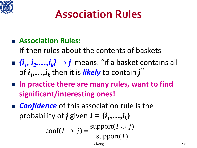

### **Association Rules**

#### **Association Rules:**

If-then rules about the contents of baskets

- $\{i_1, i_2, ..., i_k\} \rightarrow j$  means: "if a basket contains all of  $i_1,...,i_k$  then it is *likely* to contain  $j''$
- In practice there are many rules, want to find **significant/interesting ones!**
- **Confidence** of this association rule is the probability of *j* given  $I = \{i_1, \ldots, i_k\}$

$$
conf(I \to j) = \frac{\text{support}(I \cup j)}{\text{support}(I)}
$$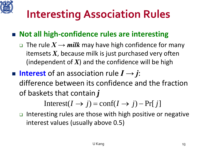

### **Interesting Association Rules**

#### ■ Not all high-confidence rules are interesting

- $\Box$  The rule  $X \rightarrow$  *milk* may have high confidence for many itemsets *X*, because milk is just purchased very often (independent of  $X$ ) and the confidence will be high
- **Interest** of an association rule *I → j*: difference between its confidence and the fraction of baskets that contain *j*

Interest( $I \rightarrow j$ ) = conf( $I \rightarrow j$ ) – Pr[ *j*]

 $\Box$  Interesting rules are those with high positive or negative interest values (usually above 0.5)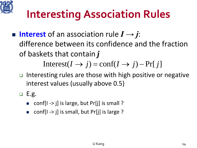

## **Interesting Association Rules**

 **Interest** of an association rule *I → j*: difference between its confidence and the fraction of baskets that contain *j*

Interest( $I \rightarrow j$ ) = conf( $I \rightarrow j$ ) – Pr[ *j*]

- $\Box$  Interesting rules are those with high positive or negative interest values (usually above 0.5)
- $E.g.$ 
	- conf[I -> j] is large, but Pr[j] is small ?
	- conf[I -> j] is small, but  $Pr[j]$  is large ?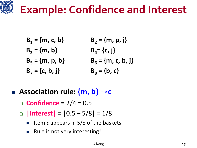

- $B_1 = \{m, c, b\}$   $B_2 = \{m, p, j\}$  $B_3 = \{m, b\}$   $B_4 = \{c, j\}$  $B_5 = \{m, p, b\}$   $B_6 = \{m, c, b, j\}$  $B_7 = \{c, b, j\}$   $B_8 = \{b, c\}$
- **Association rule: {m, b}** →**c**
	- **Confidence =** 2/4 = 0.5
	- $\Box$  |Interest| =  $|0.5 5/8| = 1/8$ 
		- Item *c* appears in 5/8 of the baskets
		- Rule is not very interesting!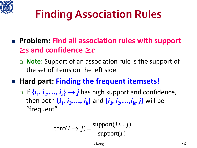

# **Finding Association Rules**

- **Problem: Find all association rules with support**  ≥*s* **and confidence** ≥*c*
	- **Note:** Support of an association rule is the support of the set of items on the left side
- **Hard part: Finding the frequent itemsets!** 
	- □ If  $\{i_1, i_2,..., i_k\}$  → *j* has high support and confidence, then both  $\{i_1, i_2, \ldots, i_k\}$  and  $\{i_1, i_2, \ldots, i_k, j\}$  will be "frequent"

$$
conf(I \to j) = \frac{\text{support}(I \cup j)}{\text{support}(I)}
$$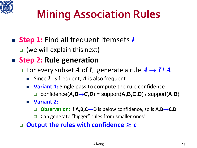

# **Mining Association Rules**

### ■ Step 1: Find all frequent itemsets *I*

□ (we will explain this next)

#### ■ Step 2: Rule generation

- $\Box$  For every subset A of *I*, generate a rule  $A \rightarrow I \, | \, A$ 
	- Since *I* is frequent, *A* is also frequent
	- **Variant 1:** Single pass to compute the rule confidence confidence(*A,B→C,D*) = support(**A,B,C,D**) / support(**A,B**)
	- **Variant 2:**
		- **Observation:** If **A,B,C→D** is below confidence, so is **A,B→C,D**
		- **□** Can generate "bigger" rules from smaller ones!

**Output the rules with confidence** ≥ *c*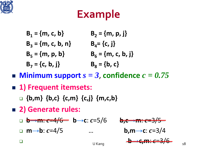

### **Example**

- $B_1 = \{m, c, b\}$   $B_2 = \{m, p, j\}$  $B_3 = \{m, c, b, n\}$   $B_4 = \{c, j\}$  $B_5 = \{m, p, b\}$   $B_6 = \{m, c, b, j\}$  $B_7 = \{c, b, j\}$   $B_8 = \{b, c\}$
- **Minimum support**  $s = 3$ , confidence  $c = 0.75$
- **1) Frequent itemsets:**
	- **{b,m} {b,c} {c,m} {c,j} {m,c,b}**
- **2) Generate rules:**
	- **b→m**: *c*=4/6 **b→c**: *c*=5/6 **b,c→m**: *c*=3/5
	- **m→b**: *c*=4/5 … **b,m→c**: *c*=3/4





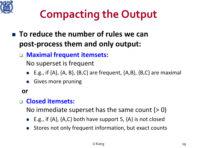

## **Compacting the Output**

- **To reduce the number of rules we can post-process them and only output:**
	- **Maximal frequent itemsets:** 
		- No superset is frequent
		- E.g., if  $\{A\}$ ,  $\{A, B\}$ ,  $\{B, C\}$  are frequent,  $\{A, B\}$ ,  $\{B, C\}$  are maximal
		- Gives more pruning

#### **or**

#### **Closed itemsets:**

No immediate superset has the same count  $(> 0)$ 

- E.g., if {A}, {A,C} both have support 5, {A} is not closed
- **Stores not only frequent information, but exact counts**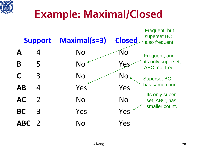

### **Example: Maximal/Closed**

|             | <b>Support</b> | <b>Maximal(s=3)</b> | <b>Closed</b> | Frequent, but<br>superset BC<br>also frequent. |
|-------------|----------------|---------------------|---------------|------------------------------------------------|
| $\mathbf A$ | 4              | <b>No</b>           | Ńо            | Frequent, and                                  |
| B           | 5              | <b>No</b>           | Yes           | its only superset,<br>ABC, not freq.           |
|             | 3              | <b>No</b>           | <b>No</b>     | <b>Superset BC</b>                             |
| <b>AB</b>   | 4              | Yes                 | Yes           | has same count.                                |
| <b>AC</b>   | $\overline{2}$ | <b>No</b>           | <b>No</b>     | Its only super-<br>set, ABC, has               |
| <b>BC</b>   | 3              | Yes                 | Yes           | smaller count.                                 |
| <b>ABC</b>  |                | No                  | Yes           |                                                |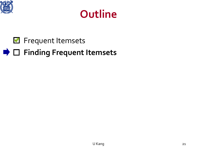

### **Outline**

#### **R** Frequent Itemsets

### **■**  $□$  Finding Frequent Itemsets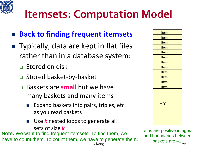

### **Itemsets: Computation Model**

#### **Back to finding frequent itemsets**

- Typically, data are kept in flat files rather than in a database system:
	- **D** Stored on disk
	- □ Stored basket-by-basket
	- Baskets are **small** but we have many baskets and many items
		- Expand baskets into pairs, triples, etc. as you read baskets
		- Use *k* nested loops to generate all sets of size *k*

**Note:** We want to find frequent itemsets. To find them, we have to count them. To count them, we have to generate them.

| <b>Item</b> |
|-------------|
| <b>Item</b> |
| <b>Item</b> |
| <b>Item</b> |
| <u>Item</u> |
| <b>Item</b> |
| <b>Item</b> |
| <u>Item</u> |
| <b>Item</b> |
| <b>Item</b> |
| <b>Item</b> |
| <u>Item</u> |
| Etc.        |

U Kang 22 Items are positive integers, and boundaries between baskets are  $-1$ .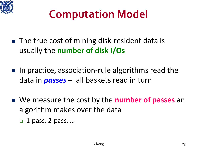

### **Computation Model**

- The true cost of mining disk-resident data is usually the **number of disk I/Os**
- $\blacksquare$  In practice, association-rule algorithms read the data in *passes* – all baskets read in turn
- We measure the cost by the **number of passes** an algorithm makes over the data
	- □ 1-pass, 2-pass, ...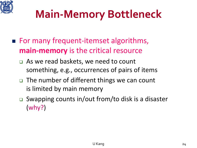

### **Main-Memory Bottleneck**

- For many frequent-itemset algorithms, **main-memory** is the critical resource
	- □ As we read baskets, we need to count something, e.g., occurrences of pairs of items
	- □ The number of different things we can count is limited by main memory
	- □ Swapping counts in/out from/to disk is a disaster (why?)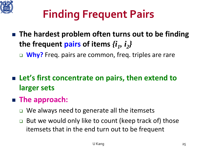

# **Finding Frequent Pairs**

■ The hardest problem often turns out to be finding the frequent pairs of items  $\{i_1, i_2\}$ 

**Why?** Freq. pairs are common, freq. triples are rare

- Let's first concentrate on pairs, then extend to **larger sets**
- **The approach:**
	- $\Box$  We always need to generate all the itemsets
	- $\Box$  But we would only like to count (keep track of) those itemsets that in the end turn out to be frequent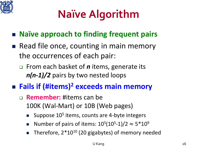

# **Naïve Algorithm**

- **Naïve approach to finding frequent pairs**
- Read file once, counting in main memory the occurrences of each pair:
	- From each basket of *n* items, generate its *n(n-1)/2* pairs by two nested loops
- **Fails if (#items)2 exceeds main memory**
	- **Remember:** #items can be 100K (Wal-Mart) or 10B (Web pages)
		- Suppose 10<sup>5</sup> items, counts are 4-byte integers
		- Number of pairs of items:  $10^5(10^5-1)/2 \approx 5*10^9$
		- Therefore,  $2*10^{10}$  (20 gigabytes) of memory needed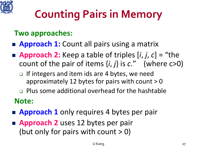

# **Counting Pairs in Memory**

#### **Two approaches:**

#### **Approach 1:** Count all pairs using a matrix

- **Approach 2:** Keep a table of triples  $[i, j, c] =$  "the count of the pair of items  $\{i, j\}$  is  $c$ ." (where  $c > 0$ )
	- $\Box$  If integers and item ids are 4 bytes, we need approximately 12 bytes for pairs with count  $> 0$
	- **Plus some additional overhead for the hashtable Note:**
- **Approach 1** only requires 4 bytes per pair
- **Approach 2** uses 12 bytes per pair (but only for pairs with count  $> 0$ )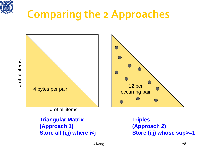

### **Comparing the 2 Approaches**

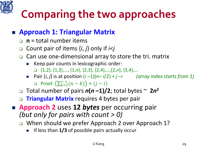

# **Comparing the two approaches**

#### **Approach 1: Triangular Matrix**

- **n** = total number items
- Count pair of items {*i*, *j*} only if *i*<*j*
- □ Can use one-dimensional array to store the tri. matrix
	- Keep pair counts in lexicographic order: {1,2}, {1,3},…, {1,*n*}, {2,3}, {2,4},…,{2,*n*}, {3,4},…
	- Pair  $\{i, j\}$  is at position  $(i-1)(n-i/2) + j-i$  *(array index starts from 1)* □ Proof:  $(\sum_{k=1}^{l-1}(n-k))$  +  $(j-i)$
- $\Box$  Total number of pairs  $n(n-1)/2$ ; total bytes  $\sim 2n^2$
- **Triangular Matrix** requires 4 bytes per pair
- **Approach 2** uses **12** *bytes* per occurring pair *(but only for pairs with count > 0)*
	- □ When should we prefer Approach 2 over Approach 1?
		- If less than **1/3** of possible pairs actually occur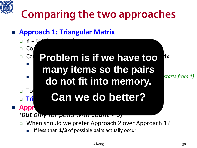

# **Comparing the two approaches**

**Approach 1: Triangular Matrix**

*(but only for pairs with count > 0)*

 $\mathbf{n} = \mathbf{t}$  Count pair of items {*i*, *j*} only if *i*<*j* **Problem is if we have too** ix Keep pair counts in lexicographic order: {1,2}, {1,3},…, {1,*n*}, {2,3}, {2,4},…,{2,*n*}, {3,4},… **many items so the pairs**  Pair {*i*, *j*} is at position (*i* –1)(*n*– *i*/2) + *j* –*i (array index starts from 1)* **do not fit into memory.**  Total number of pairs *n***(***n* **–1)/2**; total bytes ~ **2***n***<sup>2</sup> E Tri Can we do better? E** Appr

- □ When should we prefer Approach 2 over Approach 1?
	- If less than **1/3** of possible pairs actually occur